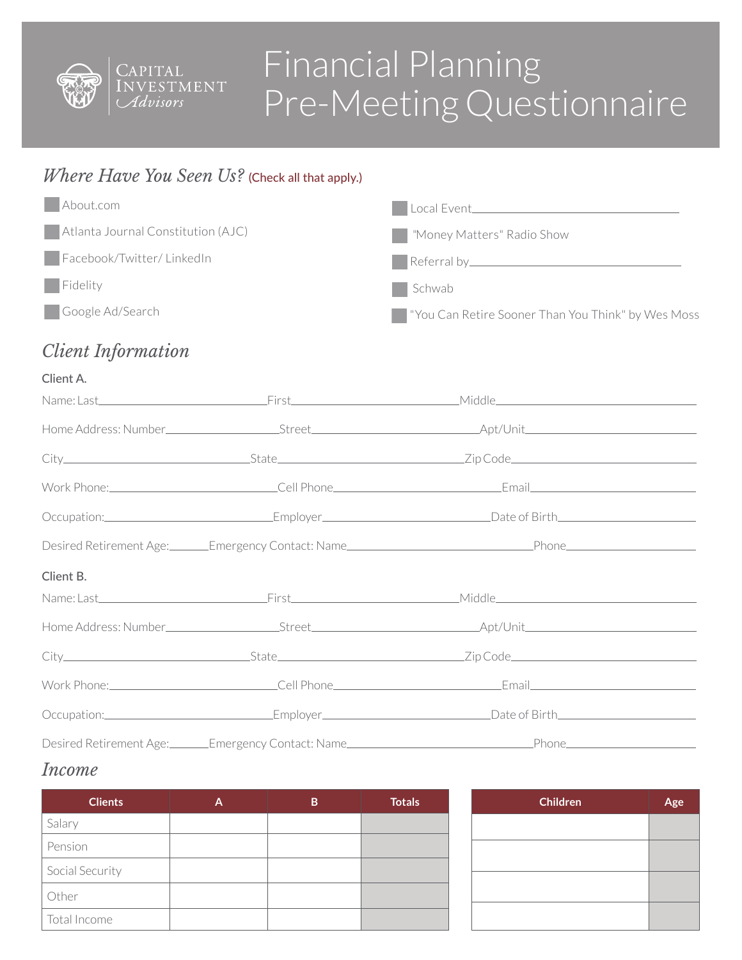

# Financial Planning Pre-Meeting Questionnaire

# *Where Have You Seen Us?* (Check all that apply.)

| About.com                          | Local Event_______________                                     |
|------------------------------------|----------------------------------------------------------------|
| Atlanta Journal Constitution (AJC) | Money Matters" Radio Show                                      |
| Facebook/Twitter/LinkedIn          | Referral by                                                    |
| $\Box$ Fidelity                    | Schwab                                                         |
| Google Ad/Search                   | Ves Moss   Vivia Can Retire Sooner Than You Think" by Wes Moss |

# *Client Information*

#### Client A.

| Occupation:_________________________________Employer____________________________Date of Birth_________________  |  |                                                                                                                 |  |
|-----------------------------------------------------------------------------------------------------------------|--|-----------------------------------------------------------------------------------------------------------------|--|
|                                                                                                                 |  |                                                                                                                 |  |
| Client B.                                                                                                       |  |                                                                                                                 |  |
|                                                                                                                 |  |                                                                                                                 |  |
|                                                                                                                 |  |                                                                                                                 |  |
|                                                                                                                 |  |                                                                                                                 |  |
|                                                                                                                 |  | Work Phone: Cell Phone Collection Communication (Cell Phone Cell Phone Collection Communication Communication C |  |
| Occupation:_________________________________Employer____________________________Date of Birth__________________ |  |                                                                                                                 |  |
|                                                                                                                 |  | Desired Retirement Age: Contact: Name Contact: Name Phone Phone Phone                                           |  |

### *Income*

| <b>Clients</b>  | A | B | <b>Totals</b> | Childr |
|-----------------|---|---|---------------|--------|
| Salary          |   |   |               |        |
| Pension         |   |   |               |        |
| Social Security |   |   |               |        |
| Other           |   |   |               |        |
| Total Income    |   |   |               |        |

| <b>Children</b> | Age |
|-----------------|-----|
|                 |     |
|                 |     |
|                 |     |
|                 |     |